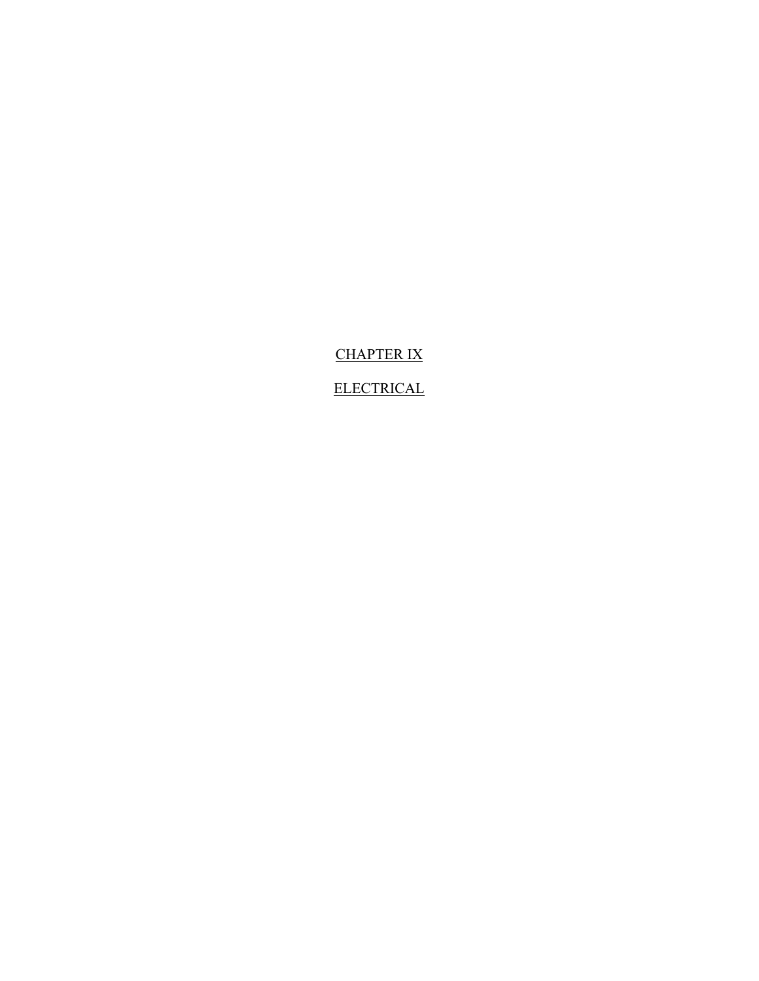CHAPTER IX

**ELECTRICAL**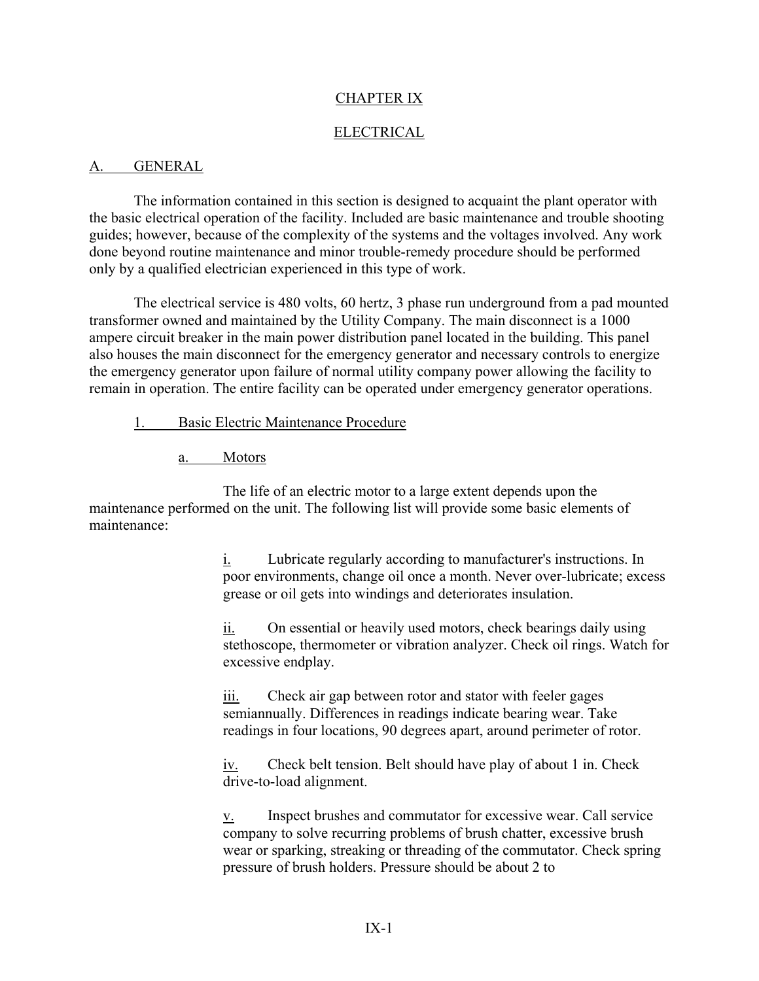### CHAPTER IX

### ELECTRICAL

#### A. GENERAL

The information contained in this section is designed to acquaint the plant operator with the basic electrical operation of the facility. Included are basic maintenance and trouble shooting guides; however, because of the complexity of the systems and the voltages involved. Any work done beyond routine maintenance and minor trouble-remedy procedure should be performed only by a qualified electrician experienced in this type of work.

The electrical service is 480 volts, 60 hertz, 3 phase run underground from a pad mounted transformer owned and maintained by the Utility Company. The main disconnect is a 1000 ampere circuit breaker in the main power distribution panel located in the building. This panel also houses the main disconnect for the emergency generator and necessary controls to energize the emergency generator upon failure of normal utility company power allowing the facility to remain in operation. The entire facility can be operated under emergency generator operations.

- 1. Basic Electric Maintenance Procedure
	- a. Motors

The life of an electric motor to a large extent depends upon the maintenance performed on the unit. The following list will provide some basic elements of maintenance:

> i. Lubricate regularly according to manufacturer's instructions. In poor environments, change oil once a month. Never over-lubricate; excess grease or oil gets into windings and deteriorates insulation.

> $i$   $\frac{\partial}{\partial x}$  On essential or heavily used motors, check bearings daily using stethoscope, thermometer or vibration analyzer. Check oil rings. Watch for excessive endplay.

iii. Check air gap between rotor and stator with feeler gages semiannually. Differences in readings indicate bearing wear. Take readings in four locations, 90 degrees apart, around perimeter of rotor.

iv. Check belt tension. Belt should have play of about 1 in. Check drive-to-load alignment.

v. Inspect brushes and commutator for excessive wear. Call service company to solve recurring problems of brush chatter, excessive brush wear or sparking, streaking or threading of the commutator. Check spring pressure of brush holders. Pressure should be about 2 to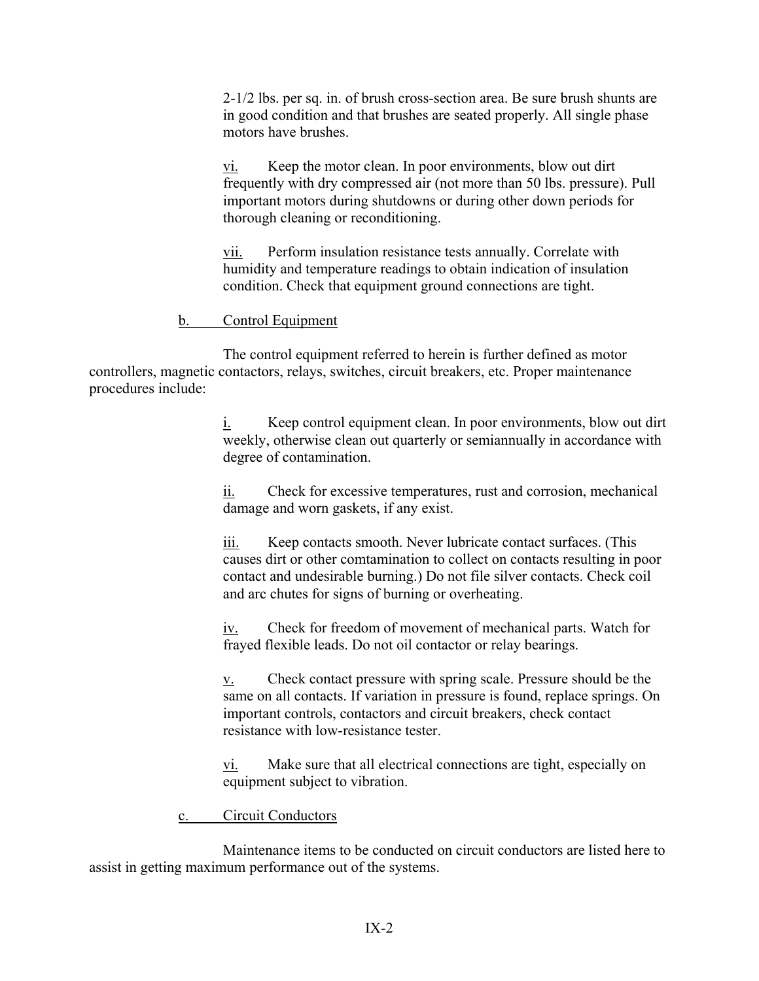2-1/2 lbs. per sq. in. of brush cross-section area. Be sure brush shunts are in good condition and that brushes are seated properly. All single phase motors have brushes.

vi. Keep the motor clean. In poor environments, blow out dirt frequently with dry compressed air (not more than 50 lbs. pressure). Pull important motors during shutdowns or during other down periods for thorough cleaning or reconditioning.

vii. Perform insulation resistance tests annually. Correlate with humidity and temperature readings to obtain indication of insulation condition. Check that equipment ground connections are tight.

## b. Control Equipment

The control equipment referred to herein is further defined as motor controllers, magnetic contactors, relays, switches, circuit breakers, etc. Proper maintenance procedures include:

> i. Keep control equipment clean. In poor environments, blow out dirt weekly, otherwise clean out quarterly or semiannually in accordance with degree of contamination.

ii. Check for excessive temperatures, rust and corrosion, mechanical damage and worn gaskets, if any exist.

iii. Keep contacts smooth. Never lubricate contact surfaces. (This causes dirt or other comtamination to collect on contacts resulting in poor contact and undesirable burning.) Do not file silver contacts. Check coil and arc chutes for signs of burning or overheating.

iv. Check for freedom of movement of mechanical parts. Watch for frayed flexible leads. Do not oil contactor or relay bearings.

v. Check contact pressure with spring scale. Pressure should be the same on all contacts. If variation in pressure is found, replace springs. On important controls, contactors and circuit breakers, check contact resistance with low-resistance tester.

vi. Make sure that all electrical connections are tight, especially on equipment subject to vibration.

c. Circuit Conductors

Maintenance items to be conducted on circuit conductors are listed here to assist in getting maximum performance out of the systems.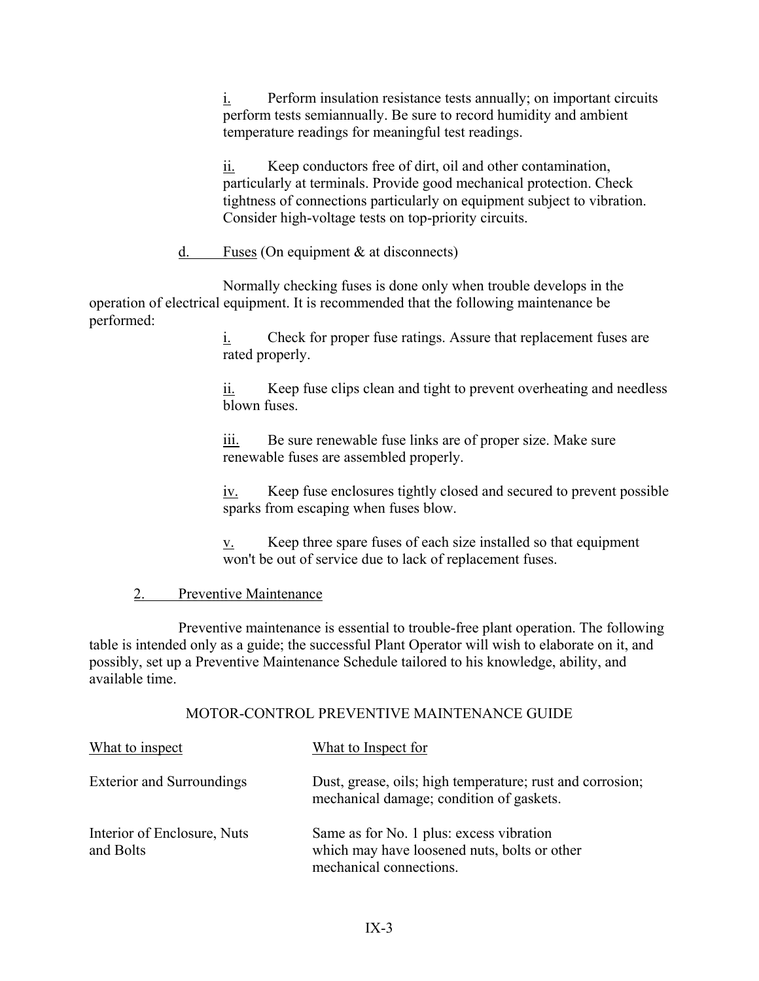i. Perform insulation resistance tests annually; on important circuits perform tests semiannually. Be sure to record humidity and ambient temperature readings for meaningful test readings.

ii. Keep conductors free of dirt, oil and other contamination, particularly at terminals. Provide good mechanical protection. Check tightness of connections particularly on equipment subject to vibration. Consider high-voltage tests on top-priority circuits.

d. Fuses (On equipment & at disconnects)

Normally checking fuses is done only when trouble develops in the operation of electrical equipment. It is recommended that the following maintenance be performed:

> $i$ . Check for proper fuse ratings. Assure that replacement fuses are rated properly.

ii. Keep fuse clips clean and tight to prevent overheating and needless blown fuses.

iii. Be sure renewable fuse links are of proper size. Make sure renewable fuses are assembled properly.

iv. Keep fuse enclosures tightly closed and secured to prevent possible sparks from escaping when fuses blow.

 $\underline{v}$ . Keep three spare fuses of each size installed so that equipment won't be out of service due to lack of replacement fuses.

## 2. Preventive Maintenance

Preventive maintenance is essential to trouble-free plant operation. The following table is intended only as a guide; the successful Plant Operator will wish to elaborate on it, and possibly, set up a Preventive Maintenance Schedule tailored to his knowledge, ability, and available time.

#### MOTOR-CONTROL PREVENTIVE MAINTENANCE GUIDE

| What to inspect                          | What to Inspect for                                                                                                 |
|------------------------------------------|---------------------------------------------------------------------------------------------------------------------|
| <b>Exterior and Surroundings</b>         | Dust, grease, oils; high temperature; rust and corrosion;<br>mechanical damage; condition of gaskets.               |
| Interior of Enclosure, Nuts<br>and Bolts | Same as for No. 1 plus: excess vibration<br>which may have loosened nuts, bolts or other<br>mechanical connections. |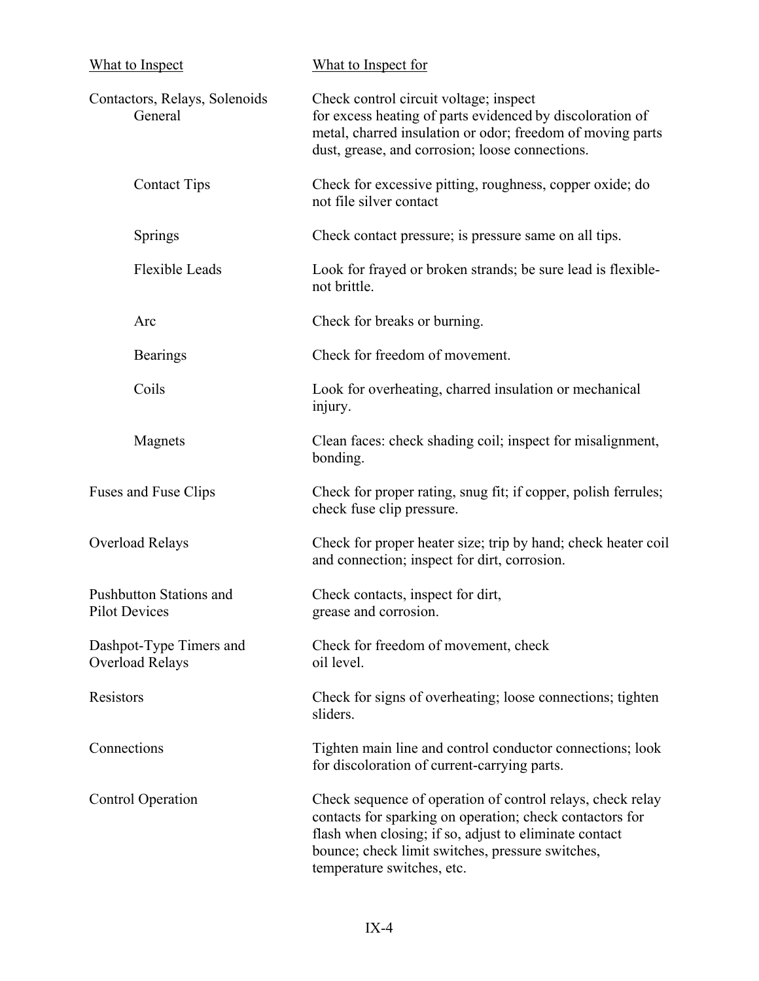| What to Inspect                                 | What to Inspect for<br>Check control circuit voltage; inspect<br>for excess heating of parts evidenced by discoloration of<br>metal, charred insulation or odor; freedom of moving parts<br>dust, grease, and corrosion; loose connections.                        |  |
|-------------------------------------------------|--------------------------------------------------------------------------------------------------------------------------------------------------------------------------------------------------------------------------------------------------------------------|--|
| Contactors, Relays, Solenoids<br>General        |                                                                                                                                                                                                                                                                    |  |
| <b>Contact Tips</b>                             | Check for excessive pitting, roughness, copper oxide; do<br>not file silver contact                                                                                                                                                                                |  |
| Springs                                         | Check contact pressure; is pressure same on all tips.                                                                                                                                                                                                              |  |
| <b>Flexible Leads</b>                           | Look for frayed or broken strands; be sure lead is flexible-<br>not brittle.                                                                                                                                                                                       |  |
| Arc                                             | Check for breaks or burning.                                                                                                                                                                                                                                       |  |
| <b>Bearings</b>                                 | Check for freedom of movement.                                                                                                                                                                                                                                     |  |
| Coils                                           | Look for overheating, charred insulation or mechanical<br>injury.                                                                                                                                                                                                  |  |
| Magnets                                         | Clean faces: check shading coil; inspect for misalignment,<br>bonding.                                                                                                                                                                                             |  |
| Fuses and Fuse Clips                            | Check for proper rating, snug fit; if copper, polish ferrules;<br>check fuse clip pressure.                                                                                                                                                                        |  |
| Overload Relays                                 | Check for proper heater size; trip by hand; check heater coil<br>and connection; inspect for dirt, corrosion.                                                                                                                                                      |  |
| Pushbutton Stations and<br><b>Pilot Devices</b> | Check contacts, inspect for dirt,<br>grease and corrosion.                                                                                                                                                                                                         |  |
| Dashpot-Type Timers and<br>Overload Relays      | Check for freedom of movement, check<br>oil level.                                                                                                                                                                                                                 |  |
| Resistors                                       | Check for signs of overheating; loose connections; tighten<br>sliders.                                                                                                                                                                                             |  |
| Connections                                     | Tighten main line and control conductor connections; look<br>for discoloration of current-carrying parts.                                                                                                                                                          |  |
| <b>Control Operation</b>                        | Check sequence of operation of control relays, check relay<br>contacts for sparking on operation; check contactors for<br>flash when closing; if so, adjust to eliminate contact<br>bounce; check limit switches, pressure switches,<br>temperature switches, etc. |  |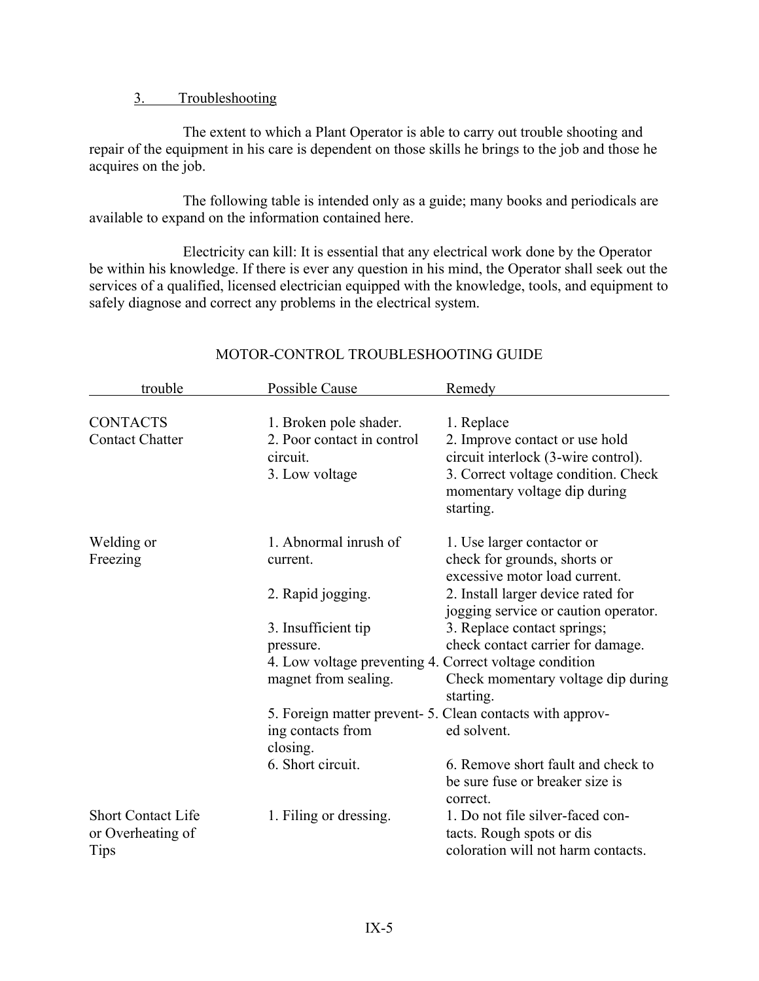## 3. Troubleshooting

The extent to which a Plant Operator is able to carry out trouble shooting and repair of the equipment in his care is dependent on those skills he brings to the job and those he acquires on the job.

The following table is intended only as a guide; many books and periodicals are available to expand on the information contained here.

Electricity can kill: It is essential that any electrical work done by the Operator be within his knowledge. If there is ever any question in his mind, the Operator shall seek out the services of a qualified, licensed electrician equipped with the knowledge, tools, and equipment to safely diagnose and correct any problems in the electrical system.

| trouble                                                | Possible Cause                                         | Remedy                                                                                              |  |  |
|--------------------------------------------------------|--------------------------------------------------------|-----------------------------------------------------------------------------------------------------|--|--|
|                                                        |                                                        |                                                                                                     |  |  |
| <b>CONTACTS</b>                                        | 1. Broken pole shader.                                 | 1. Replace                                                                                          |  |  |
| <b>Contact Chatter</b>                                 | 2. Poor contact in control                             | 2. Improve contact or use hold                                                                      |  |  |
|                                                        | circuit.                                               | circuit interlock (3-wire control).                                                                 |  |  |
|                                                        | 3. Low voltage                                         | 3. Correct voltage condition. Check<br>momentary voltage dip during<br>starting.                    |  |  |
|                                                        |                                                        |                                                                                                     |  |  |
| Welding or                                             | 1. Abnormal inrush of                                  | 1. Use larger contactor or                                                                          |  |  |
| Freezing                                               | current.                                               | check for grounds, shorts or                                                                        |  |  |
|                                                        |                                                        | excessive motor load current.                                                                       |  |  |
|                                                        | 2. Rapid jogging.                                      | 2. Install larger device rated for                                                                  |  |  |
|                                                        |                                                        | jogging service or caution operator.                                                                |  |  |
|                                                        | 3. Insufficient tip                                    | 3. Replace contact springs;                                                                         |  |  |
|                                                        | pressure.                                              | check contact carrier for damage.                                                                   |  |  |
|                                                        | 4. Low voltage preventing 4. Correct voltage condition |                                                                                                     |  |  |
|                                                        | magnet from sealing.                                   | Check momentary voltage dip during                                                                  |  |  |
|                                                        |                                                        | starting.                                                                                           |  |  |
|                                                        |                                                        | 5. Foreign matter prevent-5. Clean contacts with approv-                                            |  |  |
|                                                        | ing contacts from                                      | ed solvent.                                                                                         |  |  |
|                                                        | closing.                                               |                                                                                                     |  |  |
|                                                        | 6. Short circuit.                                      | 6. Remove short fault and check to                                                                  |  |  |
|                                                        |                                                        | be sure fuse or breaker size is                                                                     |  |  |
|                                                        |                                                        | correct.                                                                                            |  |  |
| <b>Short Contact Life</b><br>or Overheating of<br>Tips | 1. Filing or dressing.                                 | 1. Do not file silver-faced con-<br>tacts. Rough spots or dis<br>coloration will not harm contacts. |  |  |
|                                                        |                                                        |                                                                                                     |  |  |

# MOTOR-CONTROL TROUBLESHOOTING GUIDE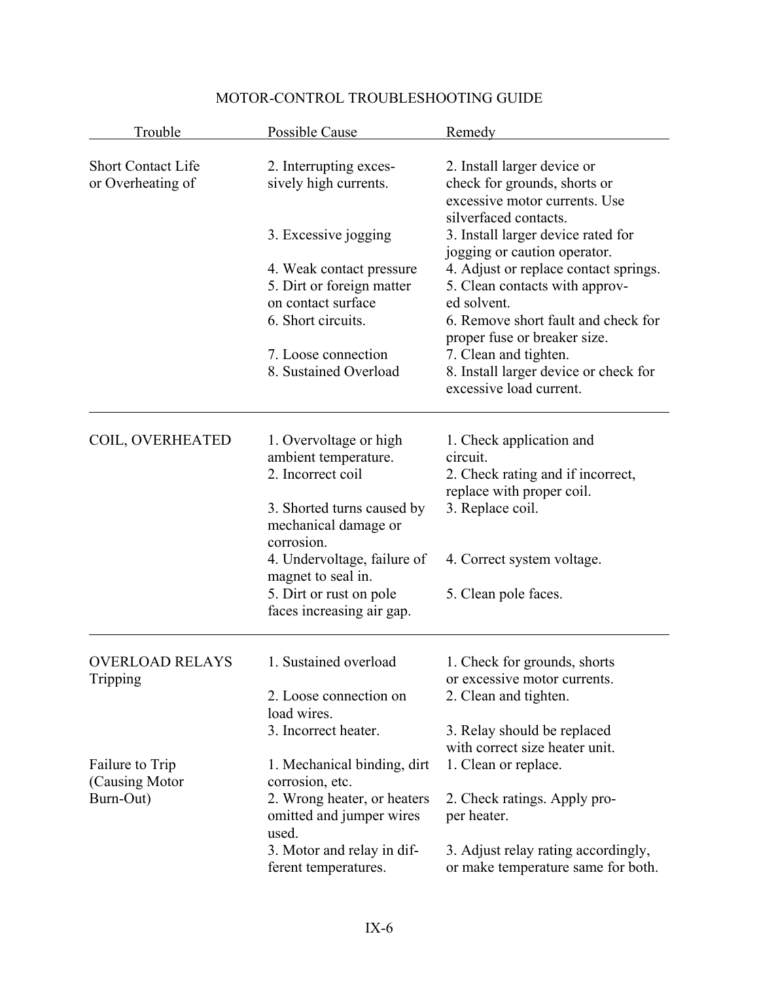| Trouble                                        | Possible Cause                                                                                            | Remedy                                                                                                                                                        |
|------------------------------------------------|-----------------------------------------------------------------------------------------------------------|---------------------------------------------------------------------------------------------------------------------------------------------------------------|
| <b>Short Contact Life</b><br>or Overheating of | 2. Interrupting exces-<br>sively high currents.                                                           | 2. Install larger device or<br>check for grounds, shorts or<br>excessive motor currents. Use<br>silverfaced contacts.                                         |
|                                                | 3. Excessive jogging                                                                                      | 3. Install larger device rated for                                                                                                                            |
|                                                | 4. Weak contact pressure<br>5. Dirt or foreign matter<br>on contact surface<br>6. Short circuits.         | jogging or caution operator.<br>4. Adjust or replace contact springs.<br>5. Clean contacts with approv-<br>ed solvent.<br>6. Remove short fault and check for |
|                                                | 7. Loose connection<br>8. Sustained Overload                                                              | proper fuse or breaker size.<br>7. Clean and tighten.<br>8. Install larger device or check for<br>excessive load current.                                     |
| COIL, OVERHEATED                               | 1. Overvoltage or high<br>ambient temperature.<br>2. Incorrect coil                                       | 1. Check application and<br>circuit.<br>2. Check rating and if incorrect,<br>replace with proper coil.                                                        |
|                                                | 3. Shorted turns caused by<br>mechanical damage or<br>corrosion.                                          | 3. Replace coil.                                                                                                                                              |
|                                                | 4. Undervoltage, failure of<br>magnet to seal in.<br>5. Dirt or rust on pole<br>faces increasing air gap. | 4. Correct system voltage.<br>5. Clean pole faces.                                                                                                            |
| <b>OVERLOAD RELAYS</b><br>Tripping             | 1. Sustained overload                                                                                     | 1. Check for grounds, shorts<br>or excessive motor currents.                                                                                                  |
|                                                | 2. Loose connection on<br>load wires.                                                                     | 2. Clean and tighten.                                                                                                                                         |
|                                                | 3. Incorrect heater.                                                                                      | 3. Relay should be replaced<br>with correct size heater unit.                                                                                                 |
| Failure to Trip<br>(Causing Motor)             | 1. Mechanical binding, dirt<br>corrosion, etc.                                                            | 1. Clean or replace.                                                                                                                                          |
| Burn-Out)                                      | 2. Wrong heater, or heaters<br>omitted and jumper wires<br>used.                                          | 2. Check ratings. Apply pro-<br>per heater.                                                                                                                   |
|                                                | 3. Motor and relay in dif-<br>ferent temperatures.                                                        | 3. Adjust relay rating accordingly,<br>or make temperature same for both.                                                                                     |

# MOTOR-CONTROL TROUBLESHOOTING GUIDE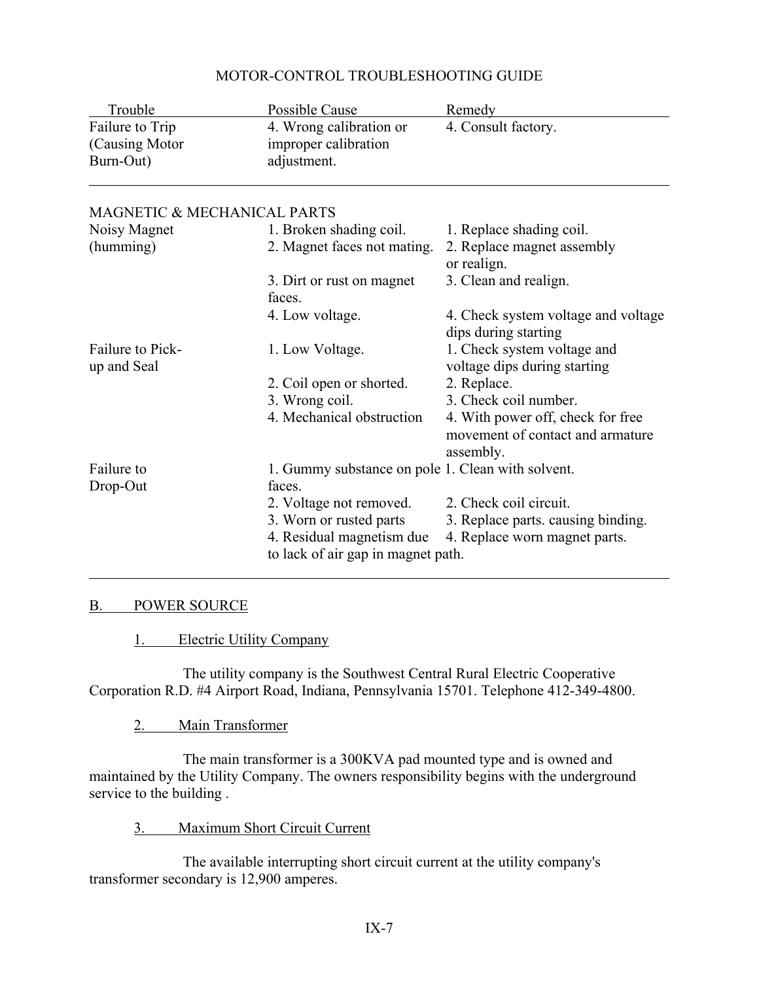| Trouble                                         | Possible Cause                                                  | Remedy                                                                             |
|-------------------------------------------------|-----------------------------------------------------------------|------------------------------------------------------------------------------------|
| Failure to Trip<br>(Causing Motor)<br>Burn-Out) | 4. Wrong calibration or<br>improper calibration<br>adjustment.  | 4. Consult factory.                                                                |
| MAGNETIC & MECHANICAL PARTS                     |                                                                 |                                                                                    |
| Noisy Magnet                                    | 1. Broken shading coil.                                         | 1. Replace shading coil.                                                           |
| (humming)                                       | 2. Magnet faces not mating.                                     | 2. Replace magnet assembly<br>or realign.                                          |
|                                                 | 3. Dirt or rust on magnet<br>faces.                             | 3. Clean and realign.                                                              |
|                                                 | 4. Low voltage.                                                 | 4. Check system voltage and voltage<br>dips during starting                        |
| <b>Failure to Pick-</b><br>up and Seal          | 1. Low Voltage.                                                 | 1. Check system voltage and<br>voltage dips during starting                        |
|                                                 | 2. Coil open or shorted.                                        | 2. Replace.                                                                        |
|                                                 | 3. Wrong coil.                                                  | 3. Check coil number.                                                              |
|                                                 | 4. Mechanical obstruction                                       | 4. With power off, check for free<br>movement of contact and armature<br>assembly. |
| Failure to                                      | 1. Gummy substance on pole 1. Clean with solvent.               |                                                                                    |
| Drop-Out                                        | faces.                                                          |                                                                                    |
|                                                 | 2. Voltage not removed.                                         | 2. Check coil circuit.                                                             |
|                                                 | 3. Worn or rusted parts                                         | 3. Replace parts. causing binding.                                                 |
|                                                 | 4. Residual magnetism due<br>to lack of air gap in magnet path. | 4. Replace worn magnet parts.                                                      |

## MOTOR-CONTROL TROUBLESHOOTING GUIDE

#### B. POWER SOURCE

1. Electric Utility Company

The utility company is the Southwest Central Rural Electric Cooperative Corporation R.D. #4 Airport Road, Indiana, Pennsylvania 15701. Telephone 412-349-4800.

2. Main Transformer

The main transformer is a 300KVA pad mounted type and is owned and maintained by the Utility Company. The owners responsibility begins with the underground service to the building .

3. Maximum Short Circuit Current

The available interrupting short circuit current at the utility company's transformer secondary is 12,900 amperes.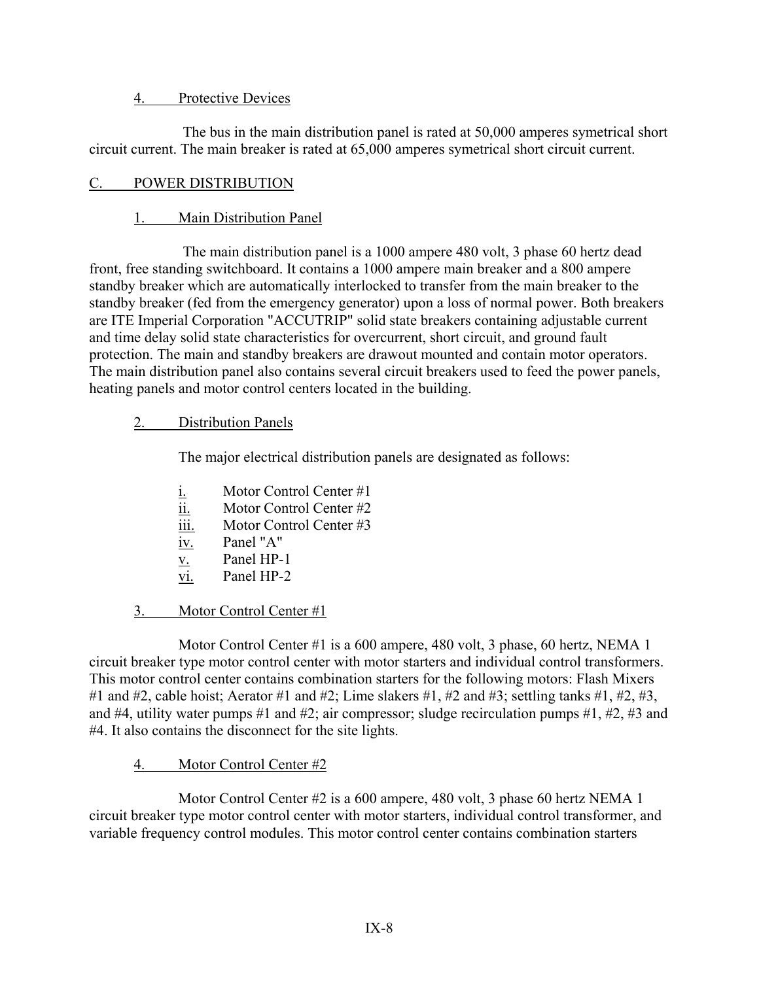### 4. Protective Devices

The bus in the main distribution panel is rated at 50,000 amperes symetrical short circuit current. The main breaker is rated at 65,000 amperes symetrical short circuit current.

## C. POWER DISTRIBUTION

## 1. Main Distribution Panel

The main distribution panel is a 1000 ampere 480 volt, 3 phase 60 hertz dead front, free standing switchboard. It contains a 1000 ampere main breaker and a 800 ampere standby breaker which are automatically interlocked to transfer from the main breaker to the standby breaker (fed from the emergency generator) upon a loss of normal power. Both breakers are ITE Imperial Corporation "ACCUTRIP" solid state breakers containing adjustable current and time delay solid state characteristics for overcurrent, short circuit, and ground fault protection. The main and standby breakers are drawout mounted and contain motor operators. The main distribution panel also contains several circuit breakers used to feed the power panels, heating panels and motor control centers located in the building.

## 2. Distribution Panels

The major electrical distribution panels are designated as follows:

- $i.$  Motor Control Center #1
- ii. Motor Control Center #2
- iii. Motor Control Center #3
- iv. Panel "A"
- $\underline{v}$ . Panel HP-1
- vi. Panel HP-2

# 3. Motor Control Center #1

Motor Control Center #1 is a 600 ampere, 480 volt, 3 phase, 60 hertz, NEMA 1 circuit breaker type motor control center with motor starters and individual control transformers. This motor control center contains combination starters for the following motors: Flash Mixers #1 and #2, cable hoist; Aerator #1 and #2; Lime slakers #1, #2 and #3; settling tanks #1, #2, #3, and #4, utility water pumps #1 and #2; air compressor; sludge recirculation pumps #1, #2, #3 and #4. It also contains the disconnect for the site lights.

## 4. Motor Control Center #2

Motor Control Center #2 is a 600 ampere, 480 volt, 3 phase 60 hertz NEMA 1 circuit breaker type motor control center with motor starters, individual control transformer, and variable frequency control modules. This motor control center contains combination starters